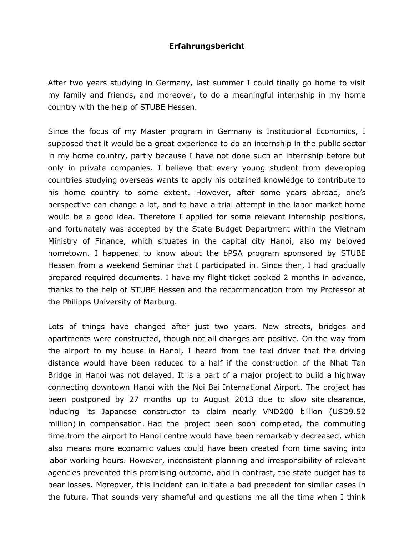## **Erfahrungsbericht**

After two years studying in Germany, last summer I could finally go home to visit my family and friends, and moreover, to do a meaningful internship in my home country with the help of STUBE Hessen.

Since the focus of my Master program in Germany is Institutional Economics, I supposed that it would be a great experience to do an internship in the public sector in my home country, partly because I have not done such an internship before but only in private companies. I believe that every young student from developing countries studying overseas wants to apply his obtained knowledge to contribute to his home country to some extent. However, after some years abroad, one's perspective can change a lot, and to have a trial attempt in the labor market home would be a good idea. Therefore I applied for some relevant internship positions, and fortunately was accepted by the State Budget Department within the Vietnam Ministry of Finance, which situates in the capital city Hanoi, also my beloved hometown. I happened to know about the bPSA program sponsored by STUBE Hessen from a weekend Seminar that I participated in. Since then, I had gradually prepared required documents. I have my flight ticket booked 2 months in advance, thanks to the help of STUBE Hessen and the recommendation from my Professor at the Philipps University of Marburg.

Lots of things have changed after just two years. New streets, bridges and apartments were constructed, though not all changes are positive. On the way from the airport to my house in Hanoi, I heard from the taxi driver that the driving distance would have been reduced to a half if the construction of the Nhat Tan Bridge in Hanoi was not delayed. It is a part of a major project to build a highway connecting downtown Hanoi with the Noi Bai International Airport. The project has been postponed by 27 months up to August 2013 due to slow site clearance, inducing its Japanese constructor to claim nearly VND200 billion (USD9.52 million) in compensation. Had the project been soon completed, the commuting time from the airport to Hanoi centre would have been remarkably decreased, which also means more economic values could have been created from time saving into labor working hours. However, inconsistent planning and irresponsibility of relevant agencies prevented this promising outcome, and in contrast, the state budget has to bear losses. Moreover, this incident can initiate a bad precedent for similar cases in the future. That sounds very shameful and questions me all the time when I think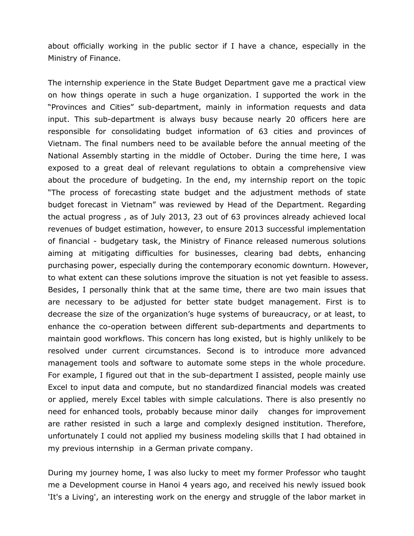about officially working in the public sector if I have a chance, especially in the Ministry of Finance.

The internship experience in the State Budget Department gave me a practical view on how things operate in such a huge organization. I supported the work in the "Provinces and Cities" sub-department, mainly in information requests and data input. This sub-department is always busy because nearly 20 officers here are responsible for consolidating budget information of 63 cities and provinces of Vietnam. The final numbers need to be available before the annual meeting of the National Assembly starting in the middle of October. During the time here, I was exposed to a great deal of relevant regulations to obtain a comprehensive view about the procedure of budgeting. In the end, my internship report on the topic "The process of forecasting state budget and the adjustment methods of state budget forecast in Vietnam" was reviewed by Head of the Department. Regarding the actual progress , as of July 2013, 23 out of 63 provinces already achieved local revenues of budget estimation, however, to ensure 2013 successful implementation of financial - budgetary task, the Ministry of Finance released numerous solutions aiming at mitigating difficulties for businesses, clearing bad debts, enhancing purchasing power, especially during the contemporary economic downturn. However, to what extent can these solutions improve the situation is not yet feasible to assess. Besides, I personally think that at the same time, there are two main issues that are necessary to be adjusted for better state budget management. First is to decrease the size of the organization's huge systems of bureaucracy, or at least, to enhance the co-operation between different sub-departments and departments to maintain good workflows. This concern has long existed, but is highly unlikely to be resolved under current circumstances. Second is to introduce more advanced management tools and software to automate some steps in the whole procedure. For example, I figured out that in the sub-department I assisted, people mainly use Excel to input data and compute, but no standardized financial models was created or applied, merely Excel tables with simple calculations. There is also presently no need for enhanced tools, probably because minor daily changes for improvement are rather resisted in such a large and complexly designed institution. Therefore, unfortunately I could not applied my business modeling skills that I had obtained in my previous internship in a German private company.

During my journey home, I was also lucky to meet my former Professor who taught me a Development course in Hanoi 4 years ago, and received his newly issued book 'It's a Living', an interesting work on the energy and struggle of the labor market in